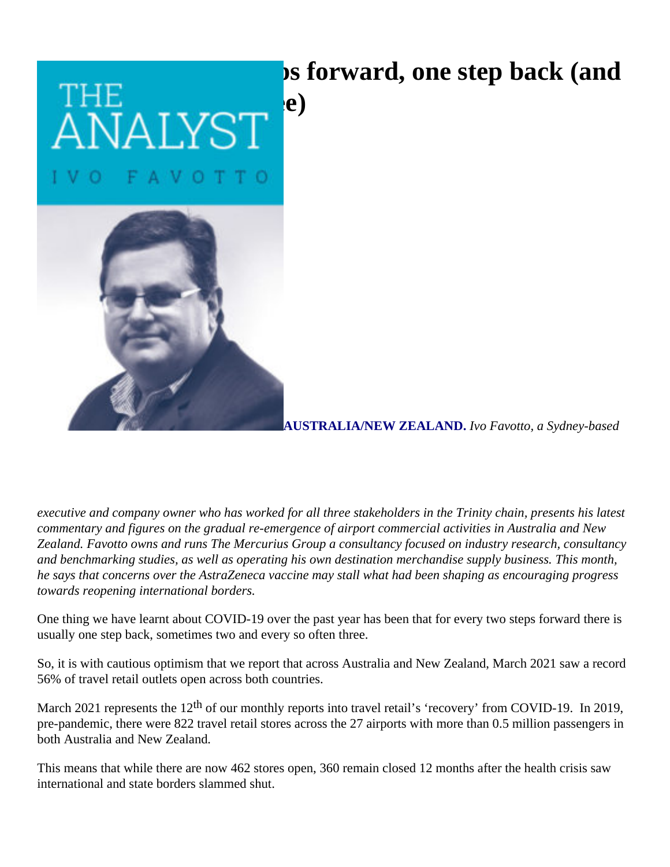## **ps forward, one step back (and**

 $\rm _{NALYST}^{1E}$  (e)



**AUSTRALIA/NEW ZEALAND.** *Ivo Favotto, a Sydney-based* 

*executive and company owner who has worked for all three stakeholders in the Trinity chain, presents his latest commentary and figures on the gradual re-emergence of airport commercial activities in Australia and New Zealand. Favotto owns and runs The Mercurius Group a consultancy focused on industry research, consultancy and benchmarking studies, as well as operating his own destination merchandise supply business. This month, he says that concerns over the AstraZeneca vaccine may stall what had been shaping as encouraging progress towards reopening international borders.*

One thing we have learnt about COVID-19 over the past year has been that for every two steps forward there is usually one step back, sometimes two and every so often three.

So, it is with cautious optimism that we report that across Australia and New Zealand, March 2021 saw a record 56% of travel retail outlets open across both countries.

March 2021 represents the 12<sup>th</sup> of our monthly reports into travel retail's 'recovery' from COVID-19. In 2019, pre-pandemic, there were 822 travel retail stores across the 27 airports with more than 0.5 million passengers in both Australia and New Zealand*.*

This means that while there are now 462 stores open, 360 remain closed 12 months after the health crisis saw international and state borders slammed shut.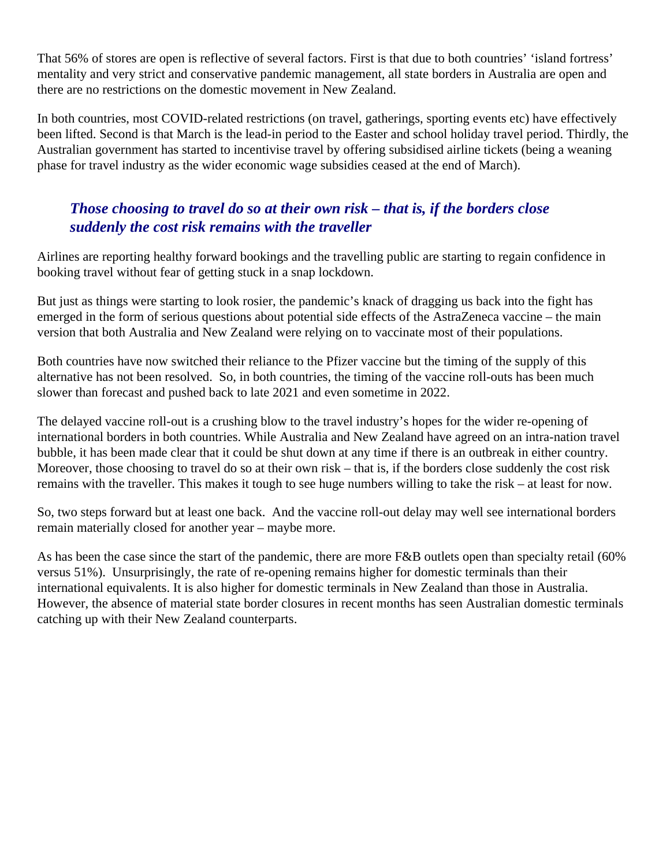That 56% of stores are open is reflective of several factors. First is that due to both countries' 'island fortress' mentality and very strict and conservative pandemic management, all state borders in Australia are open and there are no restrictions on the domestic movement in New Zealand.

In both countries, most COVID-related restrictions (on travel, gatherings, sporting events etc) have effectively been lifted. Second is that March is the lead-in period to the Easter and school holiday travel period. Thirdly, the Australian government has started to incentivise travel by offering subsidised airline tickets (being a weaning phase for travel industry as the wider economic wage subsidies ceased at the end of March).

## *Those choosing to travel do so at their own risk – that is, if the borders close suddenly the cost risk remains with the traveller*

Airlines are reporting healthy forward bookings and the travelling public are starting to regain confidence in booking travel without fear of getting stuck in a snap lockdown.

But just as things were starting to look rosier, the pandemic's knack of dragging us back into the fight has emerged in the form of serious questions about potential side effects of the AstraZeneca vaccine – the main version that both Australia and New Zealand were relying on to vaccinate most of their populations.

Both countries have now switched their reliance to the Pfizer vaccine but the timing of the supply of this alternative has not been resolved. So, in both countries, the timing of the vaccine roll-outs has been much slower than forecast and pushed back to late 2021 and even sometime in 2022.

The delayed vaccine roll-out is a crushing blow to the travel industry's hopes for the wider re-opening of international borders in both countries. While Australia and New Zealand have agreed on an intra-nation travel bubble, it has been made clear that it could be shut down at any time if there is an outbreak in either country. Moreover, those choosing to travel do so at their own risk – that is, if the borders close suddenly the cost risk remains with the traveller. This makes it tough to see huge numbers willing to take the risk – at least for now.

So, two steps forward but at least one back. And the vaccine roll-out delay may well see international borders remain materially closed for another year – maybe more.

As has been the case since the start of the pandemic, there are more F&B outlets open than specialty retail (60% versus 51%). Unsurprisingly, the rate of re-opening remains higher for domestic terminals than their international equivalents. It is also higher for domestic terminals in New Zealand than those in Australia. However, the absence of material state border closures in recent months has seen Australian domestic terminals catching up with their New Zealand counterparts.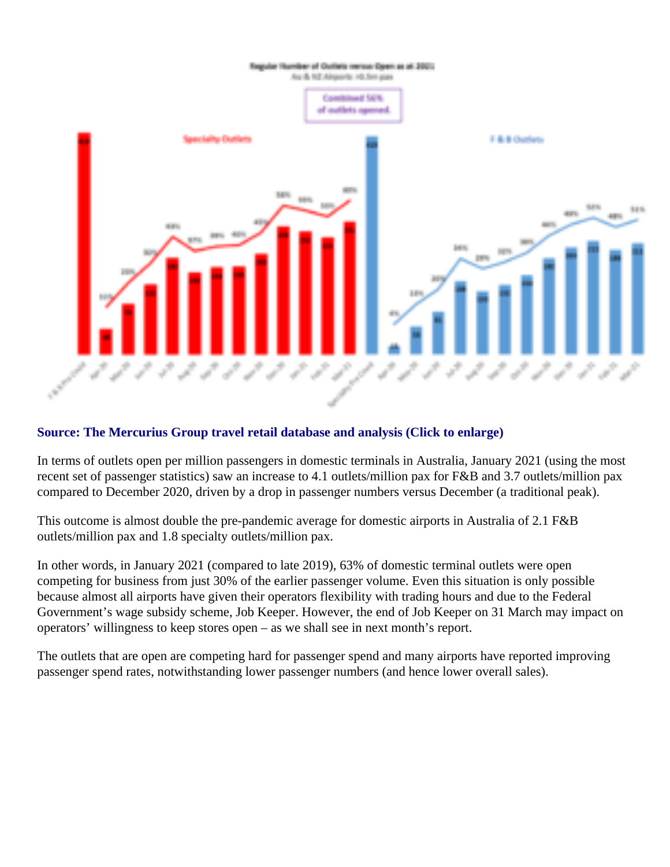## Source: The Mercurius Group travel retail database and analysis (Click to enlarge)

In terms of outlets open per million passengers in domestic terminals in Australia, January 2021 (using the mo recent set of passenger statistics) saw an increase to 4.1 outlets/million pax for F&B and 3.7 outlets/million pax compared to December 2020, driven by a drop in passenger numbers versus December (a traditional peak).

This outcome is almost double the pre-pandemic average for domestic airports in Australia of 2.1 F&B outlets/million pax and 1.8 specialty outlets/million pax.

In other words, in January 2021 (compared to late 2019), 63% of domestic terminal outlets were open competing for business from just 30% of the earlier passenger volume. Even this situation is only possible because almost all airports have given their operators flexibility with trading hours and due to the Federal Government's wage subsidy scheme, Job Keeper. However, the end of Job Keeper on 31 March may impact operators' willingness to keep stores open – as we shall see in next month's report.

The outlets that are open are competing hard for passenger spend and many airports have reported improving passenger spend rates, notwithstanding lower passenger numbers (and hence lower overall sales).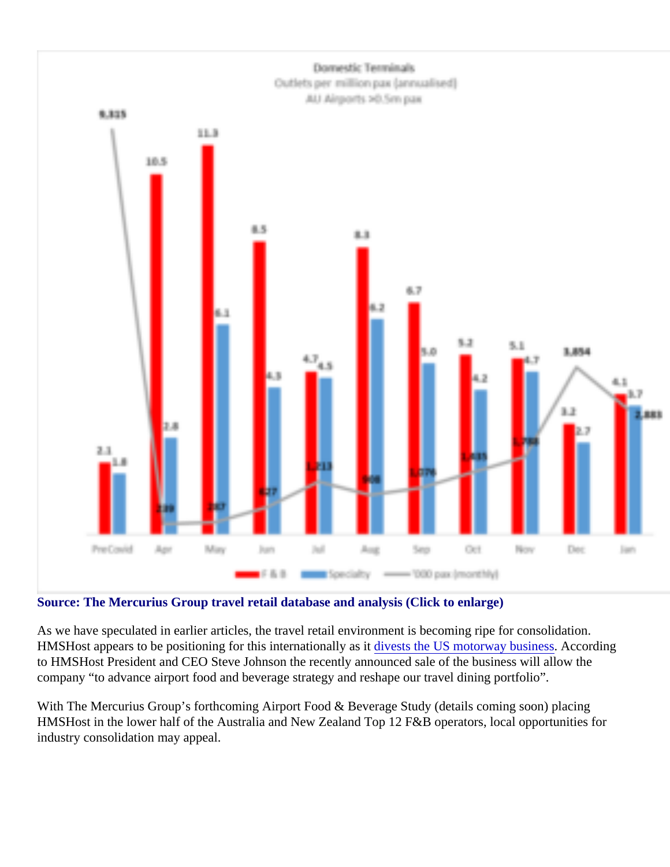## Source: The Mercurius Group travel retail database and analysis (Click to enlarge)

As we have speculated in earlier articles, the travel retail environment is becoming ripe for consolidation. HMSHost appears to be positioning for this internationally divited the US motorway business cording to HMSHost President and CEO Steve Johnson the recently announced sale of the business will allow the company "to advance airport food and beverage strategy and reshape our travel dining portfolio".

With The Mercurius Group's forthcoming Airport Food & Beverage Study (details coming soon) placing HMSHost in the lower half of the Australia and New Zealand Top 12 F&B operators, local opportunities for industry consolidation may appeal.